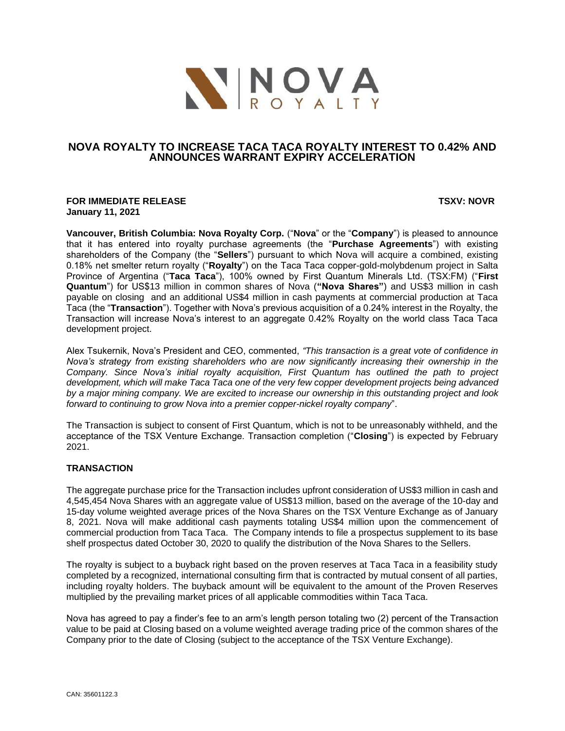

# **NOVA ROYALTY TO INCREASE TACA TACA ROYALTY INTEREST TO 0.42% AND ANNOUNCES WARRANT EXPIRY ACCELERATION**

#### **FOR IMMEDIATE RELEASE TSXV: NOVR January 11, 2021**

**Vancouver, British Columbia: Nova Royalty Corp.** ("**Nova**" or the "**Company**") is pleased to announce that it has entered into royalty purchase agreements (the "**Purchase Agreements**") with existing shareholders of the Company (the "**Sellers**") pursuant to which Nova will acquire a combined, existing 0.18% net smelter return royalty ("**Royalty**") on the Taca Taca copper-gold-molybdenum project in Salta Province of Argentina ("**Taca Taca**"), 100% owned by First Quantum Minerals Ltd. (TSX:FM) ("**First Quantum**") for US\$13 million in common shares of Nova (**"Nova Shares"**) and US\$3 million in cash payable on closing and an additional US\$4 million in cash payments at commercial production at Taca Taca (the "**Transaction**"). Together with Nova's previous acquisition of a 0.24% interest in the Royalty, the Transaction will increase Nova's interest to an aggregate 0.42% Royalty on the world class Taca Taca development project.

Alex Tsukernik, Nova's President and CEO, commented, *"This transaction is a great vote of confidence in Nova's strategy from existing shareholders who are now significantly increasing their ownership in the Company. Since Nova's initial royalty acquisition, First Quantum has outlined the path to project development, which will make Taca Taca one of the very few copper development projects being advanced by a major mining company. We are excited to increase our ownership in this outstanding project and look forward to continuing to grow Nova into a premier copper-nickel royalty company*".

The Transaction is subject to consent of First Quantum, which is not to be unreasonably withheld, and the acceptance of the TSX Venture Exchange. Transaction completion ("**Closing**") is expected by February 2021.

## **TRANSACTION**

The aggregate purchase price for the Transaction includes upfront consideration of US\$3 million in cash and 4,545,454 Nova Shares with an aggregate value of US\$13 million, based on the average of the 10-day and 15-day volume weighted average prices of the Nova Shares on the TSX Venture Exchange as of January 8, 2021. Nova will make additional cash payments totaling US\$4 million upon the commencement of commercial production from Taca Taca. The Company intends to file a prospectus supplement to its base shelf prospectus dated October 30, 2020 to qualify the distribution of the Nova Shares to the Sellers.

The royalty is subject to a buyback right based on the proven reserves at Taca Taca in a feasibility study completed by a recognized, international consulting firm that is contracted by mutual consent of all parties, including royalty holders. The buyback amount will be equivalent to the amount of the Proven Reserves multiplied by the prevailing market prices of all applicable commodities within Taca Taca.

Nova has agreed to pay a finder's fee to an arm's length person totaling two (2) percent of the Transaction value to be paid at Closing based on a volume weighted average trading price of the common shares of the Company prior to the date of Closing (subject to the acceptance of the TSX Venture Exchange).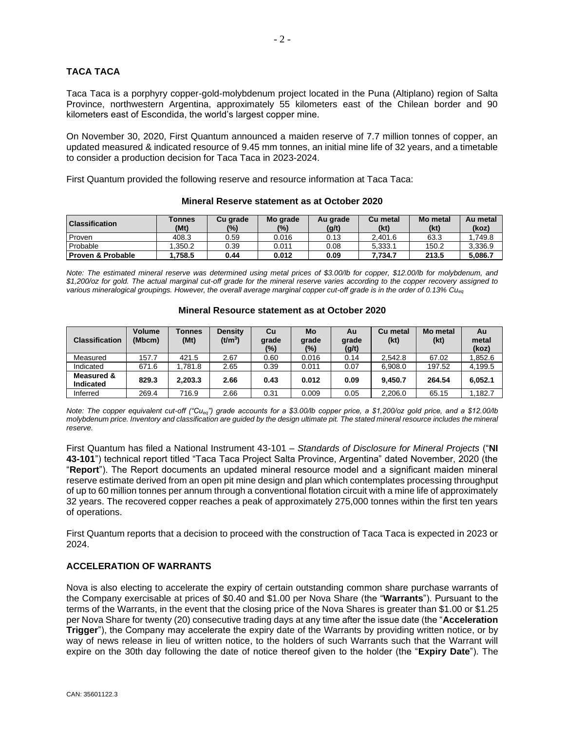## **TACA TACA**

Taca Taca is a porphyry copper-gold-molybdenum project located in the Puna (Altiplano) region of Salta Province, northwestern Argentina, approximately 55 kilometers east of the Chilean border and 90 kilometers east of Escondida, the world's largest copper mine.

On November 30, 2020, First Quantum announced a maiden reserve of 7.7 million tonnes of copper, an updated measured & indicated resource of 9.45 mm tonnes, an initial mine life of 32 years, and a timetable to consider a production decision for Taca Taca in 2023-2024.

First Quantum provided the following reserve and resource information at Taca Taca:

| <b>Classification</b>        | Tonnes<br>(Mt) | Cu grade<br>(%) | Mo grade<br>$(\%)$ | Au grade<br>(g/t) | Cu metal<br>(kt) | Mo metal<br>(kt) | Au metal<br>(koz) |
|------------------------------|----------------|-----------------|--------------------|-------------------|------------------|------------------|-------------------|
| Proven                       | 408.3          | 0.59            | 0.016              | 0.13              | 2.401.6          | 63.3             | .749.8            |
| Probable                     | .350.2         | 0.39            | 0.011              | 0.08              | 5.333.1          | 150.2            | 3.336.9           |
| <b>Proven &amp; Probable</b> | .758.5         | 0.44            | 0.012              | 0.09              | 7.734.7          | 213.5            | 5.086.7           |

#### **Mineral Reserve statement as at October 2020**

*Note: The estimated mineral reserve was determined using metal prices of \$3.00/lb for copper, \$12.00/lb for molybdenum, and \$1,200/oz for gold. The actual marginal cut-off grade for the mineral reserve varies according to the copper recovery assigned to various mineralogical groupings. However, the overall average marginal copper cut-off grade is in the order of 0.13% Cueq*

| <b>Classification</b>          | <b>Volume</b><br>(Mbcm) | <b>Tonnes</b><br>(Mt) | <b>Density</b><br>$(t/m^3)$ | Cu<br>grade<br>(%) | Mo<br>grade<br>$(\%)$ | Au<br>grade<br>(g/t) | Cu metal<br>(kt) | Mo metal<br>(kt) | Au<br>metal<br>(koz) |
|--------------------------------|-------------------------|-----------------------|-----------------------------|--------------------|-----------------------|----------------------|------------------|------------------|----------------------|
| Measured                       | 157.7                   | 421.5                 | 2.67                        | 0.60               | 0.016                 | 0.14                 | 2.542.8          | 67.02            | .852.6               |
| Indicated                      | 671.6                   | 1.781.8               | 2.65                        | 0.39               | 0.011                 | 0.07                 | 6.908.0          | 197.52           | 4,199.5              |
| Measured &<br><b>Indicated</b> | 829.3                   | 2.203.3               | 2.66                        | 0.43               | 0.012                 | 0.09                 | 9.450.7          | 264.54           | 6,052.1              |
| Inferred                       | 269.4                   | 716.9                 | 2.66                        | 0.31               | 0.009                 | 0.05                 | 2.206.0          | 65.15            | .182.7               |

#### **Mineral Resource statement as at October 2020**

*Note: The copper equivalent cut-off ("Cueq") grade accounts for a \$3.00/lb copper price, a \$1,200/oz gold price, and a \$12.00/lb*  molybdenum price. Inventory and classification are guided by the design ultimate pit. The stated mineral resource includes the mineral *reserve.*

First Quantum has filed a National Instrument 43-101 – *Standards of Disclosure for Mineral Projects* ("**NI 43-101**") technical report titled "Taca Taca Project Salta Province, Argentina" dated November, 2020 (the "**Report**"). The Report documents an updated mineral resource model and a significant maiden mineral reserve estimate derived from an open pit mine design and plan which contemplates processing throughput of up to 60 million tonnes per annum through a conventional flotation circuit with a mine life of approximately 32 years. The recovered copper reaches a peak of approximately 275,000 tonnes within the first ten years of operations.

First Quantum reports that a decision to proceed with the construction of Taca Taca is expected in 2023 or 2024.

### **ACCELERATION OF WARRANTS**

Nova is also electing to accelerate the expiry of certain outstanding common share purchase warrants of the Company exercisable at prices of \$0.40 and \$1.00 per Nova Share (the "**Warrants**"). Pursuant to the terms of the Warrants, in the event that the closing price of the Nova Shares is greater than \$1.00 or \$1.25 per Nova Share for twenty (20) consecutive trading days at any time after the issue date (the "**Acceleration Trigger**"), the Company may accelerate the expiry date of the Warrants by providing written notice, or by way of news release in lieu of written notice, to the holders of such Warrants such that the Warrant will expire on the 30th day following the date of notice thereof given to the holder (the "**Expiry Date**"). The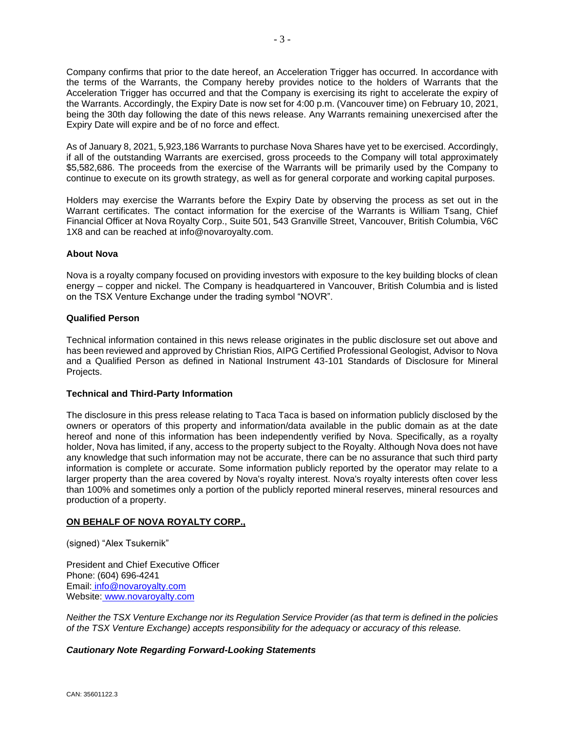Company confirms that prior to the date hereof, an Acceleration Trigger has occurred. In accordance with the terms of the Warrants, the Company hereby provides notice to the holders of Warrants that the Acceleration Trigger has occurred and that the Company is exercising its right to accelerate the expiry of the Warrants. Accordingly, the Expiry Date is now set for 4:00 p.m. (Vancouver time) on February 10, 2021, being the 30th day following the date of this news release. Any Warrants remaining unexercised after the Expiry Date will expire and be of no force and effect.

As of January 8, 2021, 5,923,186 Warrants to purchase Nova Shares have yet to be exercised. Accordingly, if all of the outstanding Warrants are exercised, gross proceeds to the Company will total approximately \$5,582,686. The proceeds from the exercise of the Warrants will be primarily used by the Company to continue to execute on its growth strategy, as well as for general corporate and working capital purposes.

Holders may exercise the Warrants before the Expiry Date by observing the process as set out in the Warrant certificates. The contact information for the exercise of the Warrants is William Tsang, Chief Financial Officer at Nova Royalty Corp., Suite 501, 543 Granville Street, Vancouver, British Columbia, V6C 1X8 and can be reached at info@novaroyalty.com.

### **About Nova**

Nova is a royalty company focused on providing investors with exposure to the key building blocks of clean energy – copper and nickel. The Company is headquartered in Vancouver, British Columbia and is listed on the TSX Venture Exchange under the trading symbol "NOVR".

### **Qualified Person**

Technical information contained in this news release originates in the public disclosure set out above and has been reviewed and approved by Christian Rios, AIPG Certified Professional Geologist, Advisor to Nova and a Qualified Person as defined in National Instrument 43-101 Standards of Disclosure for Mineral Projects.

### **Technical and Third-Party Information**

The disclosure in this press release relating to Taca Taca is based on information publicly disclosed by the owners or operators of this property and information/data available in the public domain as at the date hereof and none of this information has been independently verified by Nova. Specifically, as a royalty holder, Nova has limited, if any, access to the property subject to the Royalty. Although Nova does not have any knowledge that such information may not be accurate, there can be no assurance that such third party information is complete or accurate. Some information publicly reported by the operator may relate to a larger property than the area covered by Nova's royalty interest. Nova's royalty interests often cover less than 100% and sometimes only a portion of the publicly reported mineral reserves, mineral resources and production of a property.

### **ON BEHALF OF NOVA ROYALTY CORP.,**

(signed) "Alex Tsukernik"

President and Chief Executive Officer Phone: (604) 696-4241 Email: [info@novaroyalty.com](mailto:info@novaroyalty.com) Website: [www.novaroyalty.com](http://www.novaroyalty.com/)

*Neither the TSX Venture Exchange nor its Regulation Service Provider (as that term is defined in the policies of the TSX Venture Exchange) accepts responsibility for the adequacy or accuracy of this release.*

## *Cautionary Note Regarding Forward-Looking Statements*